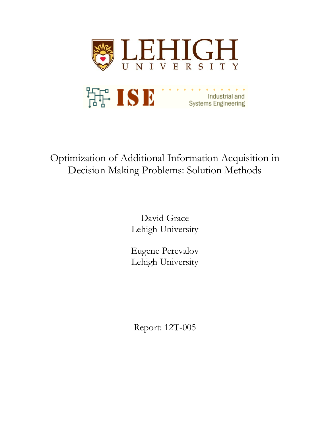

# Optimization of Additional Information Acquisition in Decision Making Problems: Solution Methods

David Grace Lehigh University

Eugene Perevalov Lehigh University

Report: 12T-005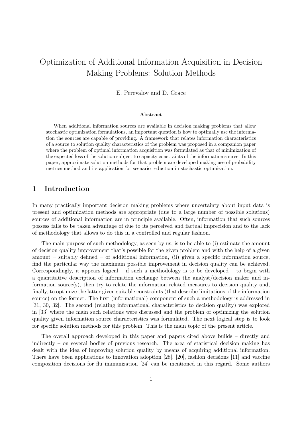## Optimization of Additional Information Acquisition in Decision Making Problems: Solution Methods

E. Perevalov and D. Grace

#### Abstract

When additional information sources are available in decision making problems that allow stochastic optimization formulations, an important question is how to optimally use the information the sources are capable of providing. A framework that relates information characteristics of a source to solution quality characteristics of the problem was proposed in a companion paper where the problem of optimal information acquisition was formulated as that of minimization of the expected loss of the solution subject to capacity constraints of the information source. In this paper, approximate solution methods for that problem are developed making use of probability metrics method and its application for scenario reduction in stochastic optimization.

#### 1 Introduction

In many practically important decision making problems where uncertainty about input data is present and optimization methods are appropriate (due to a large number of possible solutions) sources of additional information are in principle available. Often, information that such sources possess fails to be taken advantage of due to its perceived and factual imprecision and to the lack of methodology that allows to do this in a controlled and regular fashion.

The main purpose of such methodology, as seen by us, is to be able to (i) estimate the amount of decision quality improvement that's possible for the given problem and with the help of a given amount – suitably defined – of additional information, (ii) given a specific information source, find the particular way the maximum possible improvement in decision quality can be achieved. Correspondingly, it appears logical – if such a methodology is to be developed – to begin with a quantitative description of information exchange between the analyst/decision maker and information source(s), then try to relate the information related measures to decision quality and, finally, to optimize the latter given suitable constraints (that describe limitations of the information source) on the former. The first (informational) component of such a methodology is addressed in [31, 30, 32]. The second (relating informational characteristics to decision quality) was explored in [33] where the main such relations were discussed and the problem of optimizing the solution quality given information source characteristics was formulated. The next logical step is to look for specific solution methods for this problem. This is the main topic of the present article.

The overall approach developed in this paper and papers cited above builds – directly and indirectly – on several bodies of previous research. The area of statistical decision making has dealt with the idea of improving solution quality by means of acquiring additional information. There have been applications to innovation adoption [28], [20], fashion decisions [11] and vaccine composition decisions for flu immunization [24] can be mentioned in this regard. Some authors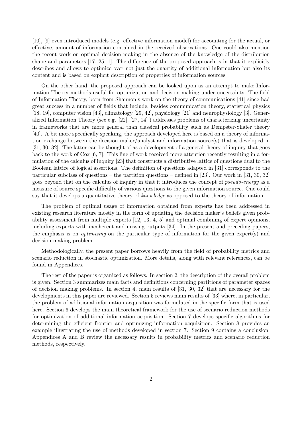[10], [9] even introduced models (e.g. effective information model) for accounting for the actual, or effective, amount of information contained in the received observations. One could also mention the recent work on optimal decision making in the absence of the knowledge of the distribution shape and parameters [17, 25, 1]. The difference of the proposed approach is in that it explicitly describes and allows to optimize over not just the quantity of additional information but also its content and is based on explicit description of properties of information sources.

On the other hand, the proposed approach can be looked upon as an attempt to make Information Theory methods useful for optimization and decision making under uncertainty. The field of Information Theory, born from Shannon's work on the theory of communications [41] since had great success in a number of fields that include, besides communication theory, statistical physics [18, 19], computer vision [43], climatology [29, 42], physiology [21] and neurophysiology [3]. Generalized Information Theory (see e.g. [22], [27, 14] ) addresses problems of characterizing uncertainty in frameworks that are more general than classical probability such as Dempster-Shafer theory [40]. A bit more specifically speaking, the approach developed here is based on a theory of information exchange between the decision maker/analyst and information source(s) that is developed in [31, 30, 32]. The latter can be thought of as a development of a general theory of inquiry that goes back to the work of Cox [6, 7]. This line of work received more attention recently resulting in a formulation of the calculus of inquiry [23] that constructs a distributive lattice of questions dual to the Boolean lattice of logical assertions. The definition of questions adapted in [31] corresponds to the particular subclass of questions – the partition questions – defined in [23]. Our work in [31, 30, 32] goes beyond that on the calculus of inquiry in that it introduces the concept of *pseudo-energy* as a measure of source specific difficulty of various questions to the given information source. One could say that it develops a quantitative theory of *knowledge* as opposed to the theory of information.

The problem of optimal usage of information obtained from experts has been addressed in existing research literature mostly in the form of updating the decision maker's beliefs given probability assessment from multiple experts [12, 13, 4, 5] and optimal combining of expert opinions, including experts with incoherent and missing outputs [34]. In the present and preceding papers, the emphasis is on optimizing on the particular type of information for the given expert(s) and decision making problem.

Methodologically, the present paper borrows heavily from the field of probability metrics and scenario reduction in stochastic optimization. More details, along with relevant references, can be found in Appendices.

The rest of the paper is organized as follows. In section 2, the description of the overall problem is given. Section 3 summarizes main facts and definitions concerning partitions of parameter spaces of decision making problems. In section 4, main results of [31, 30, 32] that are necessary for the developments in this paper are reviewed. Section 5 reviews main results of [33] where, in particular, the problem of additional information acquisition was formulated in the specific form that is used here. Section 6 develops the main theoretical framework for the use of scenario reduction methods for optimization of additional information acquisition. Section 7 develops specific algorithms for determining the efficient frontier and optimizing information acquisition. Section 8 provides an example illustrating the use of methods developed in section 7. Section 9 contains a conclusion. Appendices A and B review the necessary results in probability metrics and scenario reduction methods, respectively.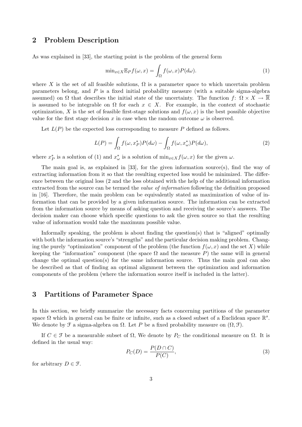#### 2 Problem Description

As was explained in [33], the starting point is the problem of the general form

$$
\min_{x \in X} \mathbb{E}_P f(\omega, x) = \int_{\Omega} f(\omega, x) P(d\omega).
$$
 (1)

where X is the set of all feasible solutions,  $\Omega$  is a parameter space to which uncertain problem parameters belong, and  $P$  is a fixed initial probability measure (with a suitable sigma-algebra assumed) on  $\Omega$  that describes the initial state of the uncertainty. The function f:  $\Omega \times X \to \mathbb{R}$ is assumed to be integrable on  $\Omega$  for each  $x \in X$ . For example, in the context of stochastic optimization, X is the set of feasible first-stage solutions and  $f(\omega, x)$  is the best possible objective value for the first stage decision x in case when the random outcome  $\omega$  is observed.

Let  $L(P)$  be the expected loss corresponding to measure P defined as follows.

$$
L(P) = \int_{\Omega} f(\omega, x_P^*) P(d\omega) - \int_{\Omega} f(\omega, x_{\omega}^*) P(d\omega), \tag{2}
$$

where  $x_P^*$  is a solution of (1) and  $x_\omega^*$  is a solution of  $\min_{x \in X} f(\omega, x)$  for the given  $\omega$ .

The main goal is, as explained in [33], for the given information source(s), find the way of extracting information from it so that the resulting expected loss would be minimized. The difference between the original loss (2 and the loss obtained with the help of the additional information extracted from the source can be termed the *value of information* following the definition proposed in [16]. Therefore, the main problem can be equivalently stated as maximization of value of information that can be provided by a given information source. The information can be extracted from the information source by means of asking question and receiving the source's answers. The decision maker can choose which specific questions to ask the given source so that the resulting value of information would take the maximum possible value.

Informally speaking, the problem is about finding the question(s) that is "aligned" optimally with both the information source's "strengths" and the particular decision making problem. Changing the purely "optimization" component of the problem (the function  $f(\omega, x)$ ) and the set X) while keeping the "information" component (the space  $\Omega$  and the measure P) the same will in general change the optimal question(s) for the same information source. Thus the main goal can also be described as that of finding an optimal alignment between the optimization and information components of the problem (where the information source itself is included in the latter).

#### 3 Partitions of Parameter Space

In this section, we briefly summarize the necessary facts concerning partitions of the parameter space  $\Omega$  which in general can be finite or infinite, such as a closed subset of a Euclidean space  $\mathbb{R}^s$ . We denote by  $\mathcal F$  a sigma-algebra on  $\Omega$ . Let P be a fixed probability measure on  $(\Omega, \mathcal F)$ .

If  $C \in \mathcal{F}$  be a measurable subset of  $\Omega$ , We denote by  $P_C$  the conditional measure on  $\Omega$ . It is defined in the usual way:

$$
P_C(D) = \frac{P(D \cap C)}{P(C)},\tag{3}
$$

for arbitrary  $D \in \mathcal{F}$ .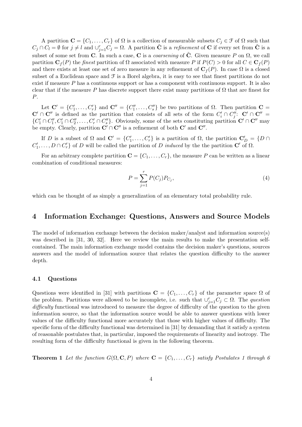A partition  $\mathbf{C} = \{C_1, \ldots, C_r\}$  of  $\Omega$  is a collection of measurable subsets  $C_j \in \mathcal{F}$  of  $\Omega$  such that  $C_j \cap C_l = \emptyset$  for  $j \neq l$  and  $\cup_{j=1}^r C_j = \Omega$ . A partition  $\tilde{C}$  is a *refinement* of C if every set from  $\tilde{C}$  is a subset of some set from C. In such a case, C is a *coarsening* of  $\tilde{C}$ . Given measure P on  $\Omega$ , we call partition  $\mathbf{C}_f(P)$  the finest partition of  $\Omega$  associated with measure P if  $P(C) > 0$  for all  $C \in \mathbf{C}_f(P)$ and there exists at least one set of zero measure in any refinement of  $C_f(P)$ . In case  $\Omega$  is a closed subset of a Euclidean space and  $\mathcal F$  is a Borel algebra, it is easy to see that finest partitions do not exist if measure  $P$  has a continuous support or has a component with continuous support. It is also clear that if the measure P has discrete support there exist many partitions of  $\Omega$  that are finest for P.

Let  $\mathbf{C}' = \{C'_1, \ldots, C'_r\}$  and  $\mathbf{C}'' = \{C''_1, \ldots, C''_s\}$  be two partitions of  $\Omega$ . Then partition  $\mathbf{C} =$  $\mathbf{C}' \cap \mathbf{C}''$  is defined as the partition that consists of all sets of the form  $C_i' \cap C_j''$ :  $\mathbf{C}' \cap \mathbf{C}'' =$  $\{C_1' \cap C_1'', C_1' \cap C_2'', \ldots, C_r' \cap C_s''\}$ . Obviously, some of the sets constituting partition  $\mathbf{C}' \cap \mathbf{C}''$  may be empty. Clearly, partition  $\mathbf{C}' \cap \mathbf{C}''$  is a refinement of both  $\mathbf{C}'$  and  $\mathbf{C}''$ .

If D is a subset of  $\Omega$  and  $\mathbf{C}' = \{C'_1, \ldots, C'_r\}$  is a partition of  $\Omega$ , the partition  $\mathbf{C}'_D = \{D \cap$  $C'_1, \ldots, D \cap C'_r$  of D will be called the partition of D induced by the the partition C' of  $\Omega$ .

For an arbitrary complete partition  $\mathbf{C} = \{C_1, \ldots, C_r\}$ , the measure P can be written as a linear combination of conditional measures:

$$
P = \sum_{j=1}^{r} P(C_j) P_{C_j},
$$
\n(4)

which can be thought of as simply a generalization of an elementary total probability rule.

#### 4 Information Exchange: Questions, Answers and Source Models

The model of information exchange between the decision maker/analyst and information source(s) was described in [31, 30, 32]. Here we review the main results to make the presentation selfcontained. The main information exchange model contains the decision maker's questions, sources answers and the model of information source that relates the question difficulty to the answer depth.

#### 4.1 Questions

Questions were identified in [31] with partitions  $\mathbf{C} = \{C_1, \ldots, C_r\}$  of the parameter space  $\Omega$  of the problem. Partitions were allowed to be incomplete, i.e. such that  $\cup_{j=1}^r C_j \subset \Omega$ . The question difficulty functional was introduced to measure the degree of difficulty of the question to the given information source, so that the information source would be able to answer questions with lower values of the difficulty functional more accurately that those with higher values of difficulty. The specific form of the difficulty functional was determined in [31] by demanding that it satisfy a system of reasonable postulates that, in particular, imposed the requirements of linearity and isotropy. The resulting form of the difficulty functional is given in the following theorem.

**Theorem 1** Let the function  $G(\Omega, \mathbf{C}, P)$  where  $\mathbf{C} = \{C_1, \ldots, C_r\}$  satisfy Postulates 1 through 6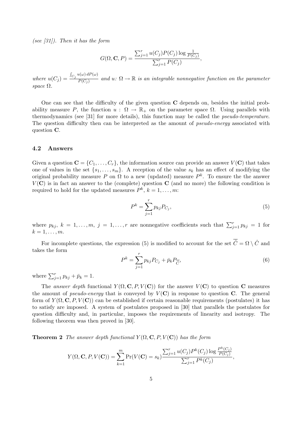(see  $(31)$ ). Then it has the form

$$
G(\Omega, \mathbf{C}, P) = \frac{\sum_{j=1}^{r} u(C_j) P(C_j) \log \frac{1}{P(C_j)}}{\sum_{j=1}^{r} P(C_j)},
$$

where  $u(C_j) =$ R  $C_j u(\omega) dP(\omega)$  $\overline{P(C_i)}$  and  $u: \Omega \to \mathbb{R}$  is an integrable nonnegative function on the parameter space  $\Omega$ .

One can see that the difficulty of the given question C depends on, besides the initial probability measure P, the function  $u : \Omega \to \mathbb{R}_+$  on the parameter space  $\Omega$ . Using parallels with thermodynamics (see [31] for more details), this function may be called the pseudo-temperature. The question difficulty then can be interpreted as the amount of *pseudo-energy* associated with question C.

#### 4.2 Answers

Given a question  $\mathbf{C} = \{C_1, \ldots, C_r\}$ , the information source can provide an answer  $V(\mathbf{C})$  that takes one of values in the set  $\{s_1, \ldots, s_m\}$ . A reception of the value  $s_k$  has an effect of modifying the original probability measure P on  $\Omega$  to a new (updated) measure  $P^k$ . To ensure the the answer  $V(\mathbf{C})$  is in fact an answer to the (complete) question  $\mathbf{C}$  (and no more) the following condition is required to hold for the updated measures  $P^k$ ,  $k = 1, \ldots, m$ :

$$
P^k = \sum_{j=1}^r p_{kj} P_{C_j},
$$
\n(5)

where  $p_{kj}$ ,  $k = 1, ..., m$ ,  $j = 1, ..., r$  are nonnegative coefficients such that  $\sum_{j=1}^{r} p_{kj} = 1$  for  $k=1,\ldots,m$ .

For incomplete questions, the expression (5) is modified to account for the set  $\overline{\hat{C}} = \Omega \setminus \hat{C}$  and takes the form

$$
P^k = \sum_{j=1}^r p_{kj} P_{C_j} + \bar{p}_k P_{\widehat{C}},\tag{6}
$$

where  $\sum_{j=1}^{r} p_{kj} + \bar{p}_k = 1$ .

The answer depth functional  $Y(\Omega, \mathbf{C}, P, V(\mathbf{C}))$  for the answer  $V(\mathbf{C})$  to question C measures the amount of *pseudo-energy* that is conveyed by  $V(\mathbf{C})$  in response to question **C**. The general form of  $Y(\Omega, \mathbf{C}, P, V(\mathbf{C}))$  can be established if certain reasonable requirements (postulates) it has to satisfy are imposed. A system of postulates proposed in [30] that parallels the postulates for question difficulty and, in particular, imposes the requirements of linearity and isotropy. The following theorem was then proved in [30].

**Theorem 2** The answer depth functional  $Y(\Omega, \mathbf{C}, P, V(\mathbf{C}))$  has the form

$$
Y(\Omega, \mathbf{C}, P, V(\mathbf{C})) = \sum_{k=1}^{m} \Pr(V(\mathbf{C}) = s_k) \frac{\sum_{j=1}^{r} u(C_j) P^k(C_j) \log \frac{P^k(C_j)}{P(C_j)}}{\sum_{j=1}^{r} P^k(C_j)},
$$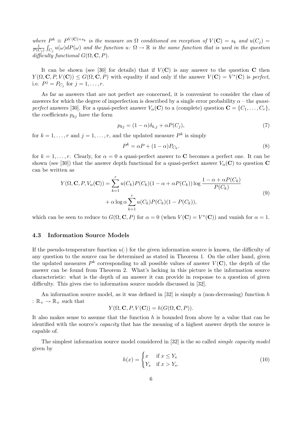where  $P^k \equiv P^{V(\mathbf{C})=s_k}$  is the measure on  $\Omega$  conditioned on reception of  $V(\mathbf{C})=s_k$  and  $u(C_j)=v_j$ 1  $\frac{1}{P(C_j)}\int_{C_j}u(\omega)dP(\omega)$  and the function  $u\colon\Omega\to\mathbb{R}$  is the same function that is used in the question difficulty functional  $G(\Omega, \mathbf{C}, P)$ .

It can be shown (see [30] for details) that if  $V(\mathbf{C})$  is any answer to the question C then  $Y(\Omega, \mathbf{C}, P, V(\mathbf{C})) \leq G(\Omega, \mathbf{C}, P)$  with equality if and only if the answer  $V(\mathbf{C}) = V^*(\mathbf{C})$  is perfect, i.e.  $P^j = P_{C_j}$  for  $j = 1, ..., r$ .

As far as answers that are not perfect are concerned, it is convenient to consider the class of answers for which the degree of imperfection is described by a single error probability  $\alpha$  – the quasiperfect answers [30]. For a quasi-perfect answer  $V_{\alpha}(\mathbf{C})$  to a (complete) question  $\mathbf{C} = \{C_1, \ldots, C_r\}$ , the coefficients  $p_{kj}$  have the form

$$
p_{kj} = (1 - \alpha)\delta_{k,j} + \alpha P(C_j),\tag{7}
$$

for  $k = 1, \ldots, r$  and  $j = 1, \ldots, r$ , and the updated measure  $P^k$  is simply

$$
P^k = \alpha P + (1 - \alpha) P_{C_k}.
$$
\n<sup>(8)</sup>

for  $k = 1, \ldots, r$ . Clearly, for  $\alpha = 0$  a quasi-perfect answer to **C** becomes a perfect one. It can be shown (see [30]) that the answer depth functional for a quasi-perfect answer  $V_\alpha(\mathbf{C})$  to question C can be written as

$$
Y(\Omega, \mathbf{C}, P, V_{\alpha}(\mathbf{C})) = \sum_{k=1}^{r} u(C_k)P(C_k)(1 - \alpha + \alpha P(C_k)) \log \frac{1 - \alpha + \alpha P(C_k)}{P(C_k)}
$$
  
+  $\alpha \log \alpha \sum_{k=1}^{r} u(C_k)P(C_k)(1 - P(C_k)),$  (9)

which can be seen to reduce to  $G(\Omega, \mathbf{C}, P)$  for  $\alpha = 0$  (when  $V(\mathbf{C}) = V^*(\mathbf{C})$ ) and vanish for  $\alpha = 1$ .

#### 4.3 Information Source Models

If the pseudo-temperature function  $u(\cdot)$  for the given information source is known, the difficulty of any question to the source can be determined as stated in Theorem 1. On the other hand, given the updated measures  $P^k$  corresponding to all possible values of answer  $V(\mathbf{C})$ , the depth of the answer can be found from Theorem 2. What's lacking in this picture is the information source characteristic: what is the depth of an answer it can provide in response to a question of given difficulty. This gives rise to information source models discussed in [32].

An information source model, as it was defined in  $[32]$  is simply a (non-decreasing) function h :  $\mathbb{R}_+ \to \mathbb{R}_+$  such that

$$
Y(\Omega, \mathbf{C}, P, V(\mathbf{C})) = h(G(\Omega, \mathbf{C}, P)).
$$

It also makes sense to assume that the function  $h$  is bounded from above by a value that can be identified with the source's capacity that has the meaning of a highest answer depth the source is capable of.

The simplest information source model considered in [32] is the so called simple capacity model given by

$$
h(x) = \begin{cases} x & \text{if } x \le Y_s \\ Y_s & \text{if } x > Y_s. \end{cases}
$$
 (10)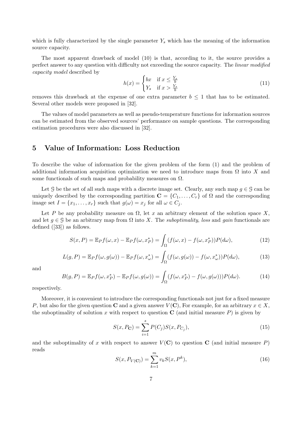which is fully characterized by the single parameter  $Y_s$  which has the meaning of the information source capacity.

The most apparent drawback of model (10) is that, according to it, the source provides a perfect answer to any question with difficulty not exceeding the source capacity. The linear modified capacity model described by

$$
h(x) = \begin{cases} bx & \text{if } x \le \frac{Y_s}{b} \\ Y_s & \text{if } x > \frac{Y_s}{b} \end{cases}
$$
 (11)

removes this drawback at the expense of one extra parameter  $b \leq 1$  that has to be estimated. Several other models were proposed in [32].

The values of model parameters as well as pseudo-temperature functions for information sources can be estimated from the observed sources' performance on sample questions. The corresponding estimation procedures were also discussed in [32].

### 5 Value of Information: Loss Reduction

To describe the value of information for the given problem of the form (1) and the problem of additional information acquisition optimization we need to introduce maps from  $\Omega$  into X and some functionals of such maps and probability measures on  $\Omega$ .

Let G be the set of all such maps with a discrete image set. Clearly, any such map  $q \in \mathcal{G}$  can be uniquely described by the corresponding partition  $\mathbf{C} = \{C_1, \ldots, C_r\}$  of  $\Omega$  and the corresponding image set  $I = \{x_1, \ldots, x_r\}$  such that  $g(\omega) = x_j$  for all  $\omega \in C_j$ .

Let P be any probability measure on  $\Omega$ , let x an arbitrary element of the solution space X, and let  $g \in \mathcal{G}$  be an arbitrary map from  $\Omega$  into X. The suboptimality, loss and gain functionals are defined ([33]) as follows.

$$
S(x, P) = \mathbb{E}_P f(\omega, x) - \mathbb{E}_P f(\omega, x_P^*) = \int_{\Omega} (f(\omega, x) - f(\omega, x_P^*)) P(d\omega), \tag{12}
$$

$$
L(g, P) = \mathbb{E}_P f(\omega, g(\omega)) - \mathbb{E}_P f(\omega, x_{\omega}^*) = \int_{\Omega} (f(\omega, g(\omega)) - f(\omega, x_{\omega}^*)) P(d\omega), \tag{13}
$$

and

$$
B(g, P) = \mathbb{E}_P f(\omega, x_P^*) - \mathbb{E}_P f(\omega, g(\omega)) = \int_{\Omega} (f(\omega, x_P^*) - f(\omega, g(\omega))) P(d\omega).
$$
 (14)

respectively.

Moreover, it is convenient to introduce the corresponding functionals not just for a fixed measure P, but also for the given question C and a given answer  $V(\mathbf{C})$ , For example, for an arbitrary  $x \in X$ , the suboptimality of solution x with respect to question  $C$  (and initial measure P) is given by

$$
S(x, P_{\mathbf{C}}) = \sum_{i=1}^{s} P(C_j) S(x, P_{C_j}),
$$
\n(15)

and the suboptimality of x with respect to answer  $V(\mathbf{C})$  to question  $\mathbf{C}$  (and initial measure P) reads

$$
S(x, P_{V(C)}) = \sum_{k=1}^{m} v_k S(x, P^k),
$$
\n(16)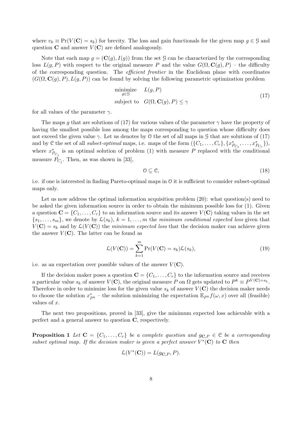where  $v_k \equiv \Pr(V(\mathbf{C}) = s_k)$  for brevity. The loss and gain functionals for the given map  $g \in \mathcal{G}$  and question  $C$  and answer  $V(C)$  are defined analogously.

Note that each map  $q = (\mathbf{C}(q), I(q))$  from the set G can be characterized by the corresponding loss  $L(q, P)$  with respect to the original measure P and the value  $G(\Omega, \mathbf{C}(q), P)$  – the difficulty of the corresponding question. The *efficient frontier* in the Euclidean plane with coordinates  $(G(\Omega, \mathbf{C}(g), P), L(g, P))$  can be found by solving the following parametric optimization problem

minimize 
$$
L(g, P)
$$
  
\nsubject to  $G(\Omega, \mathbf{C}(g), P) \le \gamma$  (17)

for all values of the parameter  $\gamma$ .

The maps g that are solutions of (17) for various values of the parameter  $\gamma$  have the property of having the smallest possible loss among the maps corresponding to question whose difficulty does not exceed the given value  $\gamma$ . Let us denotes by 0 the set of all maps in G that are solutions of (17) and by C the set of all *subset-optimal* maps, i.e. maps of the form  $(\{C_1, \ldots, C_r\}, \{x_{P_{C_1}}^*, \ldots, x_{P_{C_r}}^*\}),$ where  $x_{P_{C_j}}^*$  is an optimal solution of problem (1) with measure P replaced with the conditional measure  $P_{C_j}$ . Then, as was shown in [33],

$$
0 \subseteq \mathcal{C},\tag{18}
$$

i.e. if one is interested in finding Pareto-optimal maps in O it is sufficient to consider subset-optimal maps only.

Let us now address the optimal information acquisition problem  $(20)$ : what question(s) need to be asked the given information source in order to obtain the minimum possible loss for (1). Given a question  $\mathbf{C} = \{C_1, \ldots, C_r\}$  to an information source and its answer  $V(\mathbf{C})$  taking values in the set  $\{s_1, \ldots, s_m\}$ , we denote by  $\mathcal{L}(s_k)$ ,  $k = 1, \ldots, m$  the minimum conditional expected loss given that  $V(\mathbf{C}) = s_k$  and by  $\mathcal{L}(V(\mathbf{C}))$  the minimum expected loss that the decision maker can achieve given the answer  $V(\mathbf{C})$ . The latter can be found as

$$
\mathcal{L}(V(\mathbf{C})) = \sum_{k=1}^{m} \Pr(V(\mathbf{C}) = s_k) \mathcal{L}(s_k),
$$
\n(19)

i.e. as an expectation over possible values of the answer  $V(\mathbf{C})$ .

If the decision maker poses a question  $\mathbf{C} = \{C_1, \ldots, C_r\}$  to the information source and receives a particular value  $s_k$  of answer  $V(\mathbf{C})$ , the original measure P on  $\Omega$  gets updated to  $P^k \equiv P^{V(\mathbf{C})=s_k}$ . Therefore in order to minimize loss for the given value  $s_k$  of answer  $V(\mathbf{C})$  the decision maker needs to choose the solution  $x_{P^k}^*$  – the solution minimizing the expectation  $\mathbb{E}_{P^k} f(\omega, x)$  over all (feasible) values of x.

The next two propositions, proved in [33], give the minimum expected loss achievable with a perfect and a general answer to question C, respectively.

**Proposition 1** Let  $C = \{C_1, \ldots, C_r\}$  be a complete question and  $g_{C,P} \in C$  be a corresponding subset optimal map. If the decision maker is given a perfect answer  $V^*(\mathbf{C})$  to  $\mathbf{C}$  then

$$
\mathcal{L}(V^*(\mathbf{C})) = L(g_{\mathbf{C},P}, P).
$$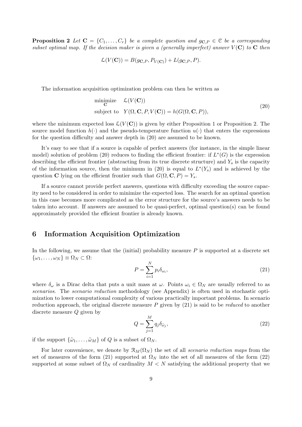**Proposition 2** Let  $\mathbf{C} = \{C_1, \ldots, C_r\}$  be a complete question and  $g_{\mathbf{C},P} \in \mathcal{C}$  be a corresponding subset optimal map. If the decision maker is given a (generally imperfect) answer  $V(\mathbf{C})$  to  $\mathbf{C}$  then

$$
\mathcal{L}(V(\mathbf{C})) = B(g_{\mathbf{C},P}, P_{V(\mathbf{C})}) + L(g_{\mathbf{C},P}, P).
$$

The information acquisition optimization problem can then be written as

minimize 
$$
\mathcal{L}(V(\mathbf{C}))
$$
  
subject to  $Y(\Omega, \mathbf{C}, P, V(\mathbf{C})) = h(G(\Omega, \mathbf{C}, P)),$  (20)

where the minimum expected loss  $\mathcal{L}(V(\mathbf{C}))$  is given by either Proposition 1 or Proposition 2. The source model function  $h(\cdot)$  and the pseudo-temperature function  $u(\cdot)$  that enters the expressions for the question difficulty and answer depth in (20) are assumed to be known.

It's easy to see that if a source is capable of perfect answers (for instance, in the simple linear model) solution of problem (20) reduces to finding the efficient frontier: if  $L^*(G)$  is the expression describing the efficient frontier (abstracting from its true discrete structure) and  $Y_s$  is the capacity of the information source, then the minimum in (20) is equal to  $L^*(Y_s)$  and is achieved by the question C lying on the efficient frontier such that  $G(\Omega, \mathbf{C}, P) = Y_s$ .

If a source cannot provide perfect answers, questions with difficulty exceeding the source capacity need to be considered in order to minimize the expected loss. The search for an optimal question in this case becomes more complicated as the error structure for the source's answers needs to be taken into account. If answers are assumed to be quasi-perfect, optimal question(s) can be found approximately provided the efficient frontier is already known.

### 6 Information Acquisition Optimization

In the following, we assume that the (initial) probability measure  $P$  is supported at a discrete set  $\{\omega_1,\ldots,\omega_N\} \equiv \Omega_N \subset \Omega$ :

$$
P = \sum_{i=1}^{N} p_i \delta_{\omega_i},\tag{21}
$$

where  $\delta_{\omega}$  is a Dirac delta that puts a unit mass at  $\omega$ . Points  $\omega_i \in \Omega_N$  are usually referred to as scenarios. The scenario reduction methodology (see Appendix) is often used in stochastic optimization to lower computational complexity of various practically important problems. In scenario reduction approach, the original discrete measure  $P$  given by  $(21)$  is said to be *reduced* to another discrete measure Q given by

$$
Q = \sum_{j=1}^{M} q_j \delta_{\tilde{\omega}_j},\tag{22}
$$

if the support  $\{\tilde{\omega}_1, \ldots, \tilde{\omega}_M\}$  of Q is a subset of  $\Omega_N$ .

For later convenience, we denote by  $\mathcal{R}_M(\Omega_N)$  the set of all scenario reduction maps from the set of measures of the form (21) supported at  $\Omega_N$  into the set of all measures of the form (22) supported at some subset of  $\Omega_N$  of cardinality  $M < N$  satisfying the additional property that we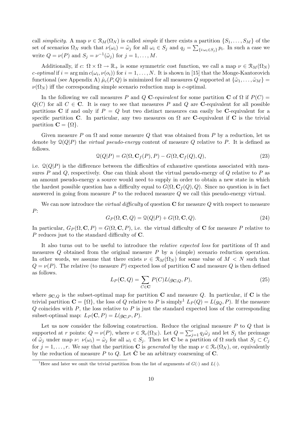call simplicity. A map  $\nu \in \mathcal{R}_M(\Omega_N)$  is called simple if there exists a partition  $\{S_1, \ldots, S_M\}$  of the set of scenarios  $\Omega_N$  such that  $\nu(\omega_i) = \tilde{\omega}_j$  for all  $\omega_i \in S_j$  and  $q_j = \sum_{\{i:\omega_i \in S_j\}} p_i$ . In such a case we write  $Q = \nu(P)$  and  $S_j = \nu^{-1}(\tilde{\omega}_j)$  for  $j = 1, ..., M$ .

Additionally, if  $c: \Omega \times \Omega \to \mathbb{R}_+$  is some symmetric cost function, we call a map  $\nu \in \mathcal{R}_M(\Omega_N)$ c-optimal if  $i = \arg \min c(\omega_i, \nu(o_i))$  for  $i = 1, ..., N$ . It is shown in [15] that the Monge-Kantorovich functional (see Appendix A)  $\hat{\mu}_c(P,Q)$  is minimized for all measures Q supported at  $\{\tilde{\omega}_1,\ldots,\tilde{\omega}_M\}$  $\nu(\Omega_N)$  iff the corresponding simple scenario reduction map is c-optimal.

In the following we call measures P and Q C-equivalent for some partition C of  $\Omega$  if  $P(C)$  =  $Q(C)$  for all  $C \in \mathbb{C}$ . It is easy to see that measures P and Q are C-equivalent for all possible partitions C if and only if  $P = Q$  but two distinct measures can easily be C-equivalent for a specific partition C. In particular, any two measures on  $\Omega$  are C-equivalent if C is the trivial partition  $\mathbf{C} = \{ \Omega \}.$ 

Given measure P on  $\Omega$  and some measure Q that was obtained from P by a reduction, let us denote by  $\mathcal{Q}(Q|P)$  the *virtual pseudo-energy* content of measure Q relative to P. It is defined as follows.

$$
\mathcal{Q}(Q|P) = G(\Omega, \mathbf{C}_f(P), P) - G(\Omega, \mathbf{C}_f(Q), Q),\tag{23}
$$

i.e.  $\mathcal{Q}(Q|P)$  is the difference between the difficulties of exhaustive questions associated with measures P and Q, respectively. One can think about the virtual pseudo-energy of  $Q$  relative to P as an amount pseudo-energy a source would need to supply in order to obtain a new state in which the hardest possible question has a difficulty equal to  $G(\Omega, \mathbf{C}_f(Q), Q)$ . Since no question is in fact answered in going from measure  $P$  to the reduced measure  $Q$  we call this pseudo-energy virtual.

We can now introduce the *virtual difficulty* of question  $C$  for measure  $Q$  with respect to measure P:

$$
G_P(\Omega, \mathbf{C}, Q) = \mathcal{Q}(Q|P) + G(\Omega, \mathbf{C}, Q). \tag{24}
$$

In particular,  $G_P(\Omega, \mathbf{C}, P) = G(\Omega, \mathbf{C}, P)$ , i.e. the virtual difficulty of C for measure P relative to P reduces just to the standard difficulty of C.

It also turns out to be useful to introduce the *relative expected loss* for partitions of  $\Omega$  and measures  $Q$  obtained from the original measure  $P$  by a (simple) scenario reduction operation. In other words, we assume that there exists  $\nu \in \mathcal{R}_M(\Omega_N)$  for some value of  $M \leq N$  such that  $Q = \nu(P)$ . The relative (to measure P) expected loss of partition C and measure Q is then defined as follows.

$$
L_P(\mathbf{C}, Q) = \sum_{C \in \mathbf{C}} P(C) L(g_{\mathbf{C}, Q}, P),
$$
\n(25)

where  $g_{\mathbf{C},Q}$  is the subset-optimal map for partition **C** and measure Q. In particular, if **C** is the trivial partition  $\mathbf{C} = \{ \Omega \}$ , the loss of Q relative to P is simply<sup>1</sup>  $L_P(Q) = L(g_Q, P)$ . If the measure  $Q$  coincides with P, the loss relative to P is just the standard expected loss of the corresponding subset-optimal map:  $L_P(C, P) = L(g_{C, P}, P)$ .

Let us now consider the following construction. Reduce the original measure  $P$  to  $Q$  that is supported at r points:  $Q = \nu(P)$ , where  $\nu \in \mathcal{R}_r(\Omega_N)$ . Let  $Q = \sum_i^r$  $j=1 \ q_j \tilde{\omega}_j$  and let  $S_j$  the preimage of  $\tilde{\omega}_j$  under map  $\nu: \nu(\omega_i) = \tilde{\omega}_j$  for all  $\omega_i \in S_j$ . Then let **C** be a partition of  $\Omega$  such that  $S_j \subset C_j$ for  $j = 1, \ldots, r$ . We say that the partition **C** is *generated* by the map  $\nu \in \mathcal{R}_r(\Omega_N)$ , or, equivalently by the reduction of measure P to Q. Let  $\hat{C}$  be an arbitrary coarsening of C.

<sup>&</sup>lt;sup>1</sup>Here and later we omit the trivial partition from the list of arguments of  $G(\cdot)$  and  $L(\cdot)$ .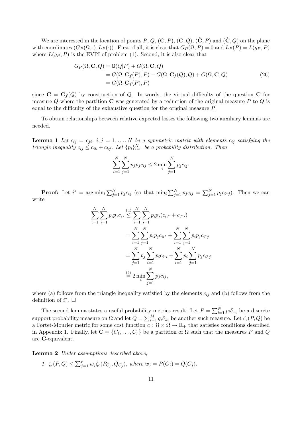We are interested in the location of points P, Q,  $(\mathbf{C}, P)$ ,  $(\mathbf{C}, Q)$ ,  $(\hat{\mathbf{C}}, P)$  and  $(\hat{\mathbf{C}}, Q)$  on the plane with coordinates  $(G_P(\Omega, \cdot), L_P(\cdot))$ . First of all, it is clear that  $G_P(\Omega, P) = 0$  and  $L_P(P) = L(g_P, P)$ where  $L(g_P, P)$  is the EVPI of problem (1). Second, it is also clear that

$$
G_P(\Omega, \mathbf{C}, Q) = \mathcal{Q}(Q|P) + G(\Omega, \mathbf{C}, Q)
$$
  
=  $G(\Omega, \mathbf{C}_f(P), P) - G(\Omega, \mathbf{C}_f(Q), Q) + G(\Omega, \mathbf{C}, Q)$   
=  $G(\Omega, \mathbf{C}_f(P), P)$  (26)

since  $C = C_f(Q)$  by construction of Q. In words, the virtual difficulty of the question C for measure  $Q$  where the partition  $C$  was generated by a reduction of the original measure  $P$  to  $Q$  is equal to the difficulty of the exhaustive question for the original measure P.

To obtain relationships between relative expected losses the following two auxiliary lemmas are needed.

**Lemma 1** Let  $c_{ij} = c_{ji}$ ,  $i, j = 1, ..., N$  be a symmetric matrix with elements  $c_{ij}$  satisfying the triangle inequality  $c_{ij} \leq c_{ik} + c_{kj}$ . Let  $\{p_i\}_{i=1}^N$  be a probability distribution. Then

$$
\sum_{i=1}^{N} \sum_{j=1}^{N} p_j p_j c_{ij} \le 2 \min_{i} \sum_{j=1}^{N} p_j c_{ij}.
$$

**Proof:** Let  $i^* = \arg \min_i \sum_{i=1}^N$  $\sum_{j=1}^{N} p_j c_{ij}$  (so that  $\min_i$  $\bigtriangledown N$  $\sum_{j=1}^{N} p_j c_{ij} =$  $\bigtriangledown N$  $\sum_{j=1}^{N} p_j c_{i^*j}$ . Then we can write

$$
\sum_{i=1}^{N} \sum_{j=1}^{N} p_i p_j c_{ij} \leq \sum_{i=1}^{N} \sum_{j=1}^{N} p_i p_j (c_{ii^*} + c_{i^*j})
$$
  
= 
$$
\sum_{i=1}^{N} \sum_{j=1}^{N} p_i p_j c_{ii^*} + \sum_{i=1}^{N} \sum_{j=1}^{N} p_i p_j c_{i^*j}
$$
  
= 
$$
\sum_{j=1}^{N} p_j \sum_{i=1}^{N} p_i c_{i^*i} + \sum_{i=1}^{N} p_i \sum_{j=1}^{N} p_j c_{i^*j}
$$
  

$$
\stackrel{\text{(b)}{=} 2 \min_{i} \sum_{j=1}^{N} p_j c_{ij},
$$

where (a) follows from the triangle inequality satisfied by the elements  $c_{ij}$  and (b) follows from the definition of  $i^*$ .  $\Box$ 

The second lemma states a useful probability metrics result. Let  $P = \sum_{i=1}^{N} P_i$  $\sum_{i=1}^{N} p_i \delta_{\omega_i}$  be a discrete support probability measure on  $\Omega$  and let  $Q = \sum_{i=1}^{M}$  $\sum_{i=1}^{M} q_i \delta_{\tilde{\omega}_i}$  be another such measure. Let  $\zeta_c(P,Q)$  be a Fortet-Mourier metric for some cost function  $c : \Omega \times \Omega \to \mathbb{R}_+$  that satisfies conditions described in Appendix 1. Finally, let  $\mathbf{C} = \{C_1, \ldots, C_r\}$  be a partition of  $\Omega$  such that the measures P and Q are C-equivalent.

Lemma 2 Under assumptions described above,

1. 
$$
\zeta_c(P,Q) \le \sum_{j=1}^r w_j \zeta_c(P_{C_j}, Q_{C_j}),
$$
 where  $w_j = P(C_j) = Q(C_j).$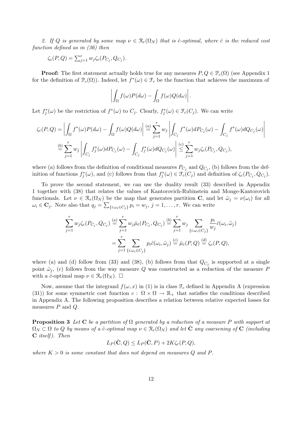2. If Q is generated by some map  $\nu \in \mathcal{R}_r(\Omega_N)$  that is ĉ-optimal, where  $\hat{c}$  is the reduced cost function defined as in (36) then

$$
\zeta_c(P,Q) = \sum_{j=1}^r w_j \zeta_c(P_{C_j}, Q_{C_j}).
$$

**Proof:** The first statement actually holds true for any measures  $P, Q \in \mathcal{P}_c(\Omega)$  (see Appendix 1) for the definition of  $\mathcal{P}_c(\Omega)$ . Indeed, let  $f^*(\omega) \in \mathcal{F}_c$  be the function that achieves the maximum of

$$
\left| \int_{\Omega} f(\omega) P(d\omega) - \int_{\Omega} f(\omega) Q(d\omega) \right|.
$$

Let  $f_j^*(\omega)$  be the restriction of  $f^*(\omega)$  to  $C_j$ . Clearly,  $f_j^*(\omega) \in \mathcal{F}_c(C_j)$ . We can write

$$
\zeta_c(P,Q) = \left| \int_{\Omega} f^*(\omega) P(d\omega) - \int_{\Omega} f(\omega) Q(d\omega) \right| \stackrel{(a)}{=} \sum_{j=1}^r w_j \left| \int_{C_j} f^*(\omega) dP_{C_j}(\omega) - \int_{C_j} f^*(\omega) dQ_{C_j}(\omega) \right|
$$
  

$$
\stackrel{(b)}{=} \sum_{j=1}^r w_j \left| \int_{C_j} f^*_j(\omega) dP_{C_j}(\omega) - \int_{C_j} f^*_j(\omega) dQ_{C_j}(\omega) \right| \stackrel{(c)}{\leq} \sum_{j=1}^r w_j \zeta_c(P_{C_j}, Q_{C_j}),
$$

where (a) follows from the definition of conditional measures  $P_{C_j}$  and  $Q_{C_j}$ , (b) follows from the definition of functions  $f_j^*(\omega)$ , and (c) follows from that  $f_j^*(\omega) \in \mathfrak{F}_c(C_j)$  and definition of  $\zeta_c(P_{C_j}, Q_{C_j})$ .

To prove the second statement, we can use the duality result (33) described in Appendix 1 together with (38) that relates the values of Kantorovich-Rubinstein and Monge-Kantorovich functionals. Let  $\nu \in \mathcal{R}_r(\Omega_N)$  be the map that generates partition **C**, and let  $\tilde{\omega}_j = \nu(\omega_i)$  for all  $\omega_i \in \mathbf{C}_j$ . Note also that  $q_j = \sum_{\{i:\omega_i \in C_j\}} p_i = w_j$ ,  $j = 1, \ldots, r$ . We can write

$$
\sum_{j=1}^r w_j \zeta_c(P_{C_j}, Q_{C_j}) \stackrel{(a)}{=} \sum_{j=1}^r w_j \hat{\mu}_{\hat{c}}(P_{C_j}, Q_{C_j}) \stackrel{(b)}{=} \sum_{j=1}^r w_j \sum_{\{i:\omega_i \in C_j\}} \frac{p_i}{w_j} \hat{c}(\omega_i, \tilde{\omega}_j)
$$

$$
= \sum_{j=1}^r \sum_{\{i:\omega_i \in C_j\}} p_i \hat{c}(\omega_i, \tilde{\omega}_j) \stackrel{(c)}{=} \hat{\mu}_{\hat{c}}(P, Q) \stackrel{(d)}{=} \zeta_c(P, Q),
$$

where (a) and (d) follow from (33) and (38), (b) follows from that  $Q_{C_j}$  is supported at a single point  $\tilde{\omega}_j$ , (c) follows from the way measure Q was constructed as a reduction of the measure P with a ĉ-optimal map  $\nu \in \mathcal{R}_r(\Omega_N)$ .  $\square$ 

Now, assume that the integrand  $f(\omega, x)$  in (1) is in class  $\mathcal{F}_c$  defined in Appendix A (expression (31)) for some symmetric cost function  $c : \Omega \times \Omega \to \mathbb{R}_+$  that satisfies the conditions described in Appendix A. The following proposition describes a relation between relative expected losses for measures  $P$  and  $Q$ .

**Proposition 3** Let C be a partition of  $\Omega$  generated by a reduction of a measure P with support at  $\Omega_N \subset \Omega$  to Q by means of a ĉ-optimal map  $\nu \in \mathcal{R}_r(\Omega_N)$  and let  $\tilde{\mathbf{C}}$  any coarsening of  $\mathbf{C}$  (including  $C$  itself). Then

$$
L_P(\hat{\mathbf{C}}, Q) \le L_P(\hat{\mathbf{C}}, P) + 2K\zeta_c(P, Q),
$$

where  $K > 0$  is some constant that does not depend on measures Q and P.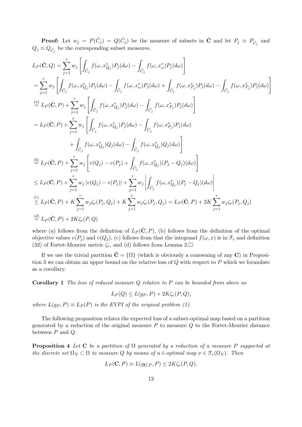**Proof:** Let  $w_j = P(\hat{C}_j) = Q(\hat{C}_j)$  be the measure of subsets in  $\hat{C}$  and let  $P_j \equiv P_{\hat{C}_j}$  and  $Q_j \equiv Q_{\hat{C}_j}$  be the corresponding subset measures.

$$
L_{P}(\hat{\mathbf{C}},Q) = \sum_{j=1}^{r} w_{j} \left[ \int_{\hat{C}_{j}} f(\omega,x_{Q_{j}}^{*}) P_{j}(d\omega) - \int_{\hat{C}_{j}} f(\omega,x_{\omega}^{*}) P_{j}(d\omega) \right]
$$
  
\n
$$
= \sum_{j=1}^{r} w_{j} \left[ \int_{\hat{C}_{j}} f(\omega,x_{Q_{j}}^{*}) P_{j}(d\omega) - \int_{\hat{C}_{j}} f(\omega,x_{\omega}^{*}) P_{j}(d\omega) + \int_{\hat{C}_{j}} f(\omega,x_{P_{j}}^{*}) P_{j}(d\omega) - \int_{\hat{C}_{j}} f(\omega,x_{P_{j}}^{*}) P_{j}(d\omega) \right]
$$
  
\n
$$
\stackrel{(a)}{=} L_{P}(\hat{\mathbf{C}},P) + \sum_{j=1}^{r} w_{j} \left[ \int_{\hat{C}_{j}} f(\omega,x_{Q_{j}}^{*}) P_{j}(d\omega) - \int_{\hat{C}_{j}} f(\omega,x_{P_{j}}^{*}) P_{j}(d\omega) \right]
$$
  
\n
$$
= L_{P}(\hat{\mathbf{C}},P) + \sum_{j=1}^{r} w_{j} \left[ \int_{\hat{C}_{j}} f(\omega,x_{Q_{j}}^{*}) P_{j}(d\omega) - \int_{\hat{C}_{j}} f(\omega,x_{P_{j}}^{*}) P_{j}(d\omega) \right]
$$
  
\n
$$
+ \int_{\hat{C}_{j}} f(\omega,x_{Q_{j}}^{*}) Q_{j}(d\omega) - \int_{\hat{C}_{j}} f(\omega,x_{Q_{j}}^{*}) Q_{j}(d\omega) \right]
$$
  
\n
$$
\stackrel{(b)}{=} L_{P}(\hat{\mathbf{C}},P) + \sum_{j=1}^{r} w_{j} \left[ v(Q_{j}) - v(P_{j}) + \int_{\hat{C}_{j}} f(\omega,x_{Q_{j}}^{*}) (P_{j} - Q_{j})(d\omega) \right]
$$
  
\n
$$
\leq L_{P}(\hat{\mathbf{C}},P) + \sum_{j=1}^{r} w_{j} \left[ v(Q_{j}) - v(P_{j}) \right] + \sum_{j=1}^{r} w_{j} \left| \int_{\hat{C}_{j}} f(\omega,x_{Q_{j}}^{*}) (P_{j} - Q_{j})(d\
$$

where (a) follows from the definition of  $L_P(\hat{\mathbf{C}}, P)$ , (b) follows from the definition of the optimal objective values  $v(P_j)$  and  $v(Q_j)$ , (c) follows from that the integrand  $f(\omega, x)$  is in  $\mathcal{F}_c$  and definition (32) of Fortet-Mourier metric  $\zeta_c$ , and (d) follows from Lemma 2. $\square$ 

If we use the trivial partition  $\hat{C} = \{\Omega\}$  (which is obviously a coarsening of any C) in Proposition 3 we can obtain an upper bound on the relative loss of  $Q$  with respect to  $P$  which we formulate as a corollary.

**Corollary 1** The loss of reduced measure  $Q$  relative to  $P$  can be bounded from above as

$$
L_P(Q) \le L(g_P, P) + 2K\zeta_c(P, Q),
$$

where  $L(g_P, P) \equiv L_P(P)$  is the EVPI of the original problem (1).

The following proposition relates the expected loss of a subset-optimal map based on a partition generated by a reduction of the original measure  $P$  to measure  $Q$  to the Fortet-Mourier distance between  $P$  and  $Q$ .

**Proposition 4** Let C be a partition of  $\Omega$  generated by a reduction of a measure P supported at the discrete set  $\Omega_N \subset \Omega$  to measure Q by means of a ĉ-optimal map  $\nu \in \mathfrak{F}_r(\Omega_N)$ . Then

$$
L_P(\mathbf{C}, P) \equiv L(g_{\mathbf{C},P}, P) \le 2K\zeta_c(P, Q),
$$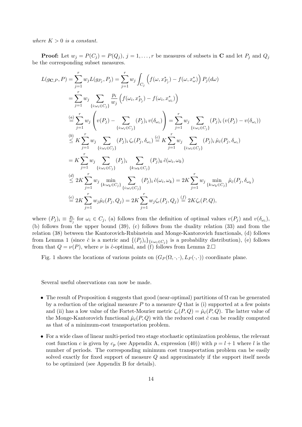where  $K > 0$  is a constant.

**Proof:** Let  $w_j = P(C_j) = P(Q_j)$ ,  $j = 1, ..., r$  be measures of subsets in **C** and let  $P_j$  and  $Q_j$ be the corresponding subset measures.

$$
L(g_{\mathbf{C},P}, P) = \sum_{j=1}^{r} w_{j} L(g_{P_{j}}, P_{j}) = \sum_{j=1}^{r} w_{j} \int_{C_{j}} \left( f(\omega, x_{P_{j}}^{*}) - f(\omega, x_{\omega}^{*}) \right) P_{j}(d\omega)
$$
  
\n
$$
= \sum_{j=1}^{r} w_{j} \sum_{\{i:\omega_{i} \in C_{j}\}} \frac{p_{i}}{w_{j}} \left( f(\omega_{i}, x_{P_{j}}^{*}) - f(\omega_{i}, x_{\omega_{i}}^{*}) \right)
$$
  
\n
$$
\stackrel{(a)}{=} \sum_{j=1}^{r} w_{j} \left( v(P_{j}) - \sum_{\{i:\omega_{i} \in C_{j}\}} (P_{j})_{i} v(\delta_{\omega_{i}}) \right) = \sum_{j=1}^{r} w_{j} \sum_{\{i:\omega_{i} \in C_{j}\}} (P_{j})_{i} (v(P_{j}) - v(\delta_{\omega_{i}}))
$$
  
\n
$$
\stackrel{(b)}{\leq} K \sum_{j=1}^{r} w_{j} \sum_{\{i:\omega_{i} \in C_{j}\}} (P_{j})_{i} \zeta_{c}(P_{j}, \delta_{\omega_{i}}) \stackrel{(c)}{=} K \sum_{j=1}^{r} w_{j} \sum_{\{i:\omega_{i} \in C_{j}\}} (P_{j})_{i} \hat{\mu}_{c}(P_{j}, \delta_{\omega_{i}})
$$
  
\n
$$
= K \sum_{j=1}^{r} w_{j} \sum_{\{i:\omega_{i} \in C_{j}\}} (P_{j})_{i} \sum_{\{k:\omega_{k} \in C_{j}\}} (P_{j})_{k} \hat{c}(\omega_{i}, \omega_{k})
$$
  
\n
$$
\stackrel{(d)}{\leq} 2K \sum_{j=1}^{r} w_{j} \min_{\{k:\omega_{k} \in C_{j}\}} \sum_{\{i:\omega_{i} \in C_{j}\}} (P_{j})_{i} \hat{c}(\omega_{i}, \omega_{k}) = 2K \sum_{j=1}^{r} w_{j} \min_{\{k:\omega_{k} \in C_{j}\}} \hat{\mu}_{c}(P_{j}, \delta_{\omega_{k}})
$$
  
\n
$$
\stackrel{(e)}{=} 2K \sum_{j=1}^{
$$

where  $(P_j)_i \equiv \frac{p_i}{w_i}$  $\frac{p_i}{w_j}$  for  $\omega_i \in C_j$ , (a) follows from the definition of optimal values  $v(P_j)$  and  $v(\delta_{\omega_i}),$ (b) follows from the upper bound (39), (c) follows from the duality relation (33) and from the relation (38) between the Kantorovich-Rubinstein and Monge-Kantorovich functionals, (d) follows from Lemma 1 (since  $\hat{c}$  is a metric and  $\{(P_j)_i\}_{\{i:\omega_i \in C_j\}}$  is a probability distribution), (e) follows from that  $Q = \nu(P)$ , where  $\nu$  is ĉ-optimal, and (f) follows from Lemma 2.

Fig. 1 shows the locations of various points on  $(G_P(\Omega, \cdot, \cdot), L_P(\cdot, \cdot))$  coordinate plane.

Several useful observations can now be made.

- The result of Proposition 4 suggests that good (near-optimal) partitions of  $\Omega$  can be generated by a reduction of the original measure  $P$  to a measure  $Q$  that is (i) supported at a few points and (ii) has a low value of the Fortet-Mourier metric  $\zeta_c(P,Q) = \hat{\mu}_c(P,Q)$ . The latter value of the Monge-Kantorovich functional  $\hat{\mu}_{\hat{c}}(P,Q)$  with the reduced cost  $\hat{c}$  can be readily computed as that of a minimum-cost transportation problem.
- For a wide class of linear multi-period two stage stochastic optimization problems, the relevant cost function c is given by  $c_p$  (see Appendix A, expression (40)) with  $p = l + 1$  where l is the number of periods. The corresponding minimum cost transportation problem can be easily solved exactly for fixed support of measure Q and approximately if the support itself needs to be optimized (see Appendix B for details).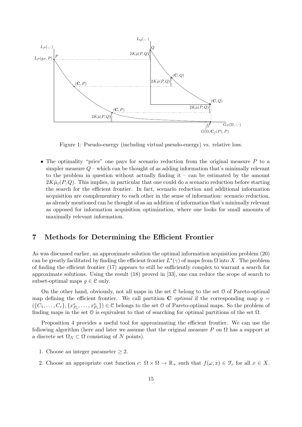

Figure 1: Pseudo-energy (including virtual pseudo-energy) vs. relative loss.

• The optimality "price" one pays for scenario reduction from the original measure  $P$  to a simpler measure  $Q$  – which can be thought of as adding information that's minimally relevant to the problem in question without actually finding  $it - can$  be estimated by the amount  $2K\hat{\mu}_{\hat{c}}(P,Q)$ . This implies, in particular that one could do a scenario reduction before starting the search for the efficient frontier. In fact, scenario reduction and additional information acquisition are complementary to each other in the sense of information: scenario reduction, as already mentioned can be thought of as an addition of information that's minimally relevant as opposed for information acquisition optimization, where one looks for small amounts of maximally relevant information.

#### 7 Methods for Determining the Efficient Frontier

As was discussed earlier, an approximate solution the optimal information acquisition problem (20) can be greatly facilitated by finding the efficient frontier  $L^*(\gamma)$  of maps from  $\Omega$  into X. The problem of finding the efficient frontier (17) appears to still be sufficiently complex to warrant a search for approximate solutions. Using the result (18) proved in [33], one can reduce the scope of search to subset-optimal maps  $q \in \mathcal{C}$  only.

On the other hand, obviously, not all maps in the set C belong to the set O of Pareto-optimal map defining the efficient frontier. We call partition C *optimal* if the corresponding map  $g =$  $(\{C_1,\ldots,C_r\},\{x_{P_1}^*,\ldots,x_{P_r}^*\})\in\mathcal{C}$  belongs to the set  $\mathcal O$  of Pareto-optimal maps. So the problem of finding maps in the set  $\theta$  is equivalent to that of searching for optimal partitions of the set  $\Omega$ .

Proposition 4 provides a useful tool for approximating the efficient frontier. We can use the following algorithm (here and later we assume that the original measure P on  $\Omega$  has a support at a discrete set  $\Omega_N \subset \Omega$  consisting of N points).

- 1. Choose an integer parameter  $\geq 2$ .
- 2. Choose an appropriate cost function c:  $\Omega \times \Omega \to \mathbb{R}_+$  such that  $f(\omega, x) \in \mathcal{F}_c$  for all  $x \in X$ .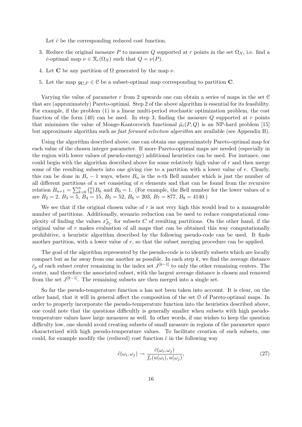Let  $\hat{c}$  be the corresponding reduced cost function.

- 3. Reduce the original measure P to measure Q supported at r points in the set  $\Omega_N$ , i.e. find a  $\hat{c}$ -optimal map  $\nu \in \mathcal{R}_r(\Omega_N)$  such that  $Q = \nu(P)$ .
- 4. Let **C** be any partition of  $\Omega$  generated by the map  $\nu$ .
- 5. Let the map  $q_{\mathbf{C},P} \in \mathcal{C}$  be a subset-optimal map corresponding to partition **C**.

Varying the value of parameter  $r$  from 2 upwards one can obtain a series of maps in the set  $\mathfrak C$ that are (approximately) Pareto-optimal. Step 2 of the above algorithm is essential for its feasibility. For example, if the problem (1) is a linear multi-period stochastic optimization problem, the cost function of the form  $(40)$  can be used. In step 3, finding the measure Q supported at r points that minimizes the value of Monge-Kantorovich functional  $\hat{\mu}_{\hat{c}}(P,Q)$  is an NP-hard problem [15] but approximate algorithm such as *fast forward selection algorithm* are available (see Appendix B).

Using the algorithm described above, one can obtain one approximately Pareto-optimal map for each value of the chosen integer parameter. If more Pareto-optimal maps are needed (especially in the region with lower values of pseudo-energy) additional heuristics can be used. For instance, one could begin with the algorithm described above for some relatively high value of  $r$  and then merge some of the resulting subsets into one giving rise to a partition with a lower value of  $r$ . Clearly, this can be done in  $B_r - 1$  ways, where  $B_n$  is the *n*-th Bell number which is just the number of all different partitions of a set consisting of n elements and that can be found from the recursive an different partitions of<br>relation  $B_{n+1} = \sum_{k=0}^{n} {n \choose k}$  $k(B_k)B_k$  and  $B_0 = 1$ . (For example, the Bell number for the lower values of n are  $B_2 = 2$ ,  $B_3 = 5$ ,  $B_4 = 15$ ,  $B_5 = 52$ ,  $B_6 = 203$ ,  $B_7 = 877$ ,  $B_8 = 4140$ .)

We see that if the original chosen value of  $r$  is not very high this would lead to a manageable number of partitions. Additionally, scenario reduction can be used to reduce computational complexity of finding the values  $x_{P_C}^*$  for subsets C of resulting partitions. On the other hand, if the original value of  $r$  makes evaluation of all maps that can be obtained this way computationally prohibitive, a heuristic algorithm described by the following pseudo-code can be used. It finds another partition, with a lower value of r, so that the subset merging procedure can be applied.

The goal of the algorithm represented by the pseudo-code is to identify subsets which are locally compact but as far away from one another as possible. In each step  $k$ , we find the average distance  $\bar{c}_p$  of each subset center remaining in the index set  $J^{[k-1]}$  to only the other remaining centers. The center, and therefore the associated subset, with the largest average distance is chosen and removed from the set  $J^{[k-1]}$ . The remaining subsets are then merged into a single set.

So far the pseudo-temperature function  $u$  has not been taken into account. It is clear, on the other hand, that it will in general affect the composition of the set O of Pareto-optimal maps. In order to properly incorporate the pseudo-temperature function into the heuristics described above, one could note that the questions difficultly is generally smaller when subsets with high pseudotemperature values have large measures as well. In other words, if one wishes to keep the question difficulty low, one should avoid creating subsets of small measure in regions of the parameter space characterized with high pseudo-temperature values. To facilitate creation of such subsets, one could, for example modify the (reduced) cost function  $\hat{c}$  in the following way

$$
\hat{c}(\omega_i, \omega_j) \to \frac{\hat{c}(\omega_i, \omega_j)}{f_c(u(\omega_i), u(\omega_j))},\tag{27}
$$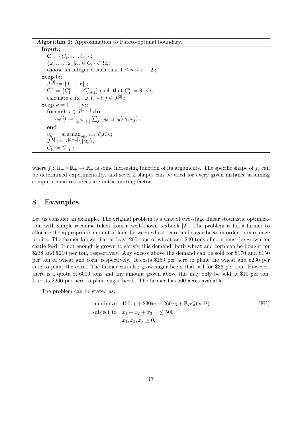Algorithm 1: Approximation to Pareto-optimal boundary.

Input:;  $C = \{C_1, \ldots, C_r\};$  $\{\omega_1,\ldots,\omega_r|\omega_i\in C_i\}\subset\Omega,$ ; choose an integer *n* such that  $1 \leq n \leq r-2$ .; Step 0:  $J^{[0]} := \{1, \ldots r\};$  $\mathbf{C}' := \{C'_1, \ldots, C'_{n+1}\}\$  such that  $C'_i := \emptyset, \forall i, j$ calculate  $\hat{c}_p(\omega_i, \omega_j), \ \forall i, j \in J^{[0]}$ ; Step  $k = 1, \ldots, n$ : foreach  $i \in J^{[k-1]}$  do  $\bar{c}_p(i) := \frac{1}{|J^{[k-1]}|}$  $\tilde{P}$  $_{j\in J^{[k-1]}}\,\hat{c}_p(\omega_i,\omega_j),;$ end  $u_k := \arg \max_{i \in J^{[k-1]}} \bar{c}_p(i),;$  $J^{[k]}:=J^{[k-1]} \backslash \{\overline{u}_k\};$  $C'_k := C_{u_k}$ .;

where  $f_c: \mathbb{R}_+ \times \mathbb{R}_+ \to \mathbb{R}_+$  is some increasing function of its arguments. The specific shape of  $f_c$  can be determined experimentally, and several shapes can be tried for every given instance assuming computational resources are not a limiting factor.

#### 8 Examples

Let us consider an example. The original problem is a that of two-stage linear stochastic optimization with simple recourse taken from a well-known texbook [2]. The problem is for a farmer to allocate the appropriate amount of land between wheat, corn and sugar beets in order to maximize profits. The farmer knows that at least 200 tons of wheat and 240 tons of corn must be grown for cattle feed. If not enough is grown to satisfy this demand, both wheat and corn can be bought for \$238 and \$210 per ton, respectively. Any excess above the demand can be sold for \$170 and \$150 per ton of wheat and corn, respectively. It costs \$150 per acre to plant the wheat and \$230 per acre to plant the corn. The farmer can also grow sugar beets that sell for \$36 per ton. However, there is a quota of 6000 tons and any amount grown above this may only be sold at \$10 per ton. It costs \$260 per acre to plant sugar beets. The farmer has 500 acres available.

The problem can be stated as:

minimize 
$$
150x_1 + 230x_2 + 260x_3 + \mathbb{E}_P Q(x, \Omega)
$$
  
\nsubject to  $x_1 + x_2 + x_3 \le 500$   
\n $x_1, x_2, x_3 \ge 0,$  (FP)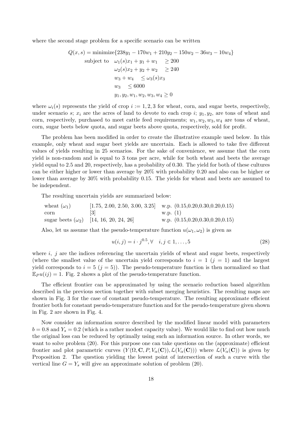where the second stage problem for a specific scenario can be written

$$
Q(x, s) = \text{minimize} \{238y_1 - 170w_1 + 210y_2 - 150w_2 - 36w_3 - 10w_4\}
$$
  
subject to  $\omega_1(s)x_1 + y_1 + w_1 \ge 200$   
 $\omega_2(s)x_2 + y_2 + w_2 \ge 240$   
 $w_3 + w_4 \le \omega_3(s)x_3$   
 $w_3 \le 6000$   
 $y_1, y_2, w_1, w_2, w_3, w_4 \ge 0$ 

where  $\omega_i(s)$  represents the yield of crop  $i := 1, 2, 3$  for wheat, corn, and sugar beets, respectively, under scenario s;  $x_i$  are the acres of land to devote to each crop i;  $y_1, y_2$ , are tons of wheat and corn, respectively, purchased to meet cattle feed requirements;  $w_1, w_2, w_3, w_4$  are tons of wheat, corn, sugar beets below quota, and sugar beets above quota, respectively, sold for profit.

The problem has been modified in order to create the illustrative example used below. In this example, only wheat and sugar beet yields are uncertain. Each is allowed to take five different values of yields resulting in 25 scenarios. For the sake of convenience, we assume that the corn yield is non-random and is equal to 3 tons per acre, while for both wheat and beets the average yield equal to 2.5 and 20, respectively, has a probability of 0.30. The yield for both of these cultures can be either higher or lower than average by 20% with probability 0.20 and also can be higher or lower than average by 30% with probability 0.15. The yields for wheat and beets are assumed to be independent.

The resulting uncertain yields are summarized below:

| wheat $(\omega_1)$           |                                               | $[1.75, 2.00, 2.50, 3.00, 3.25]$ w.p. $(0.15, 0.20, 0.30, 0.20, 0.15)$ |
|------------------------------|-----------------------------------------------|------------------------------------------------------------------------|
| $\mathop{\rm corr}\nolimits$ | -131                                          | w.p. (1)                                                               |
|                              | sugar beets $(\omega_2)$ [14, 16, 20, 24, 26] | w.p. $(0.15, 0.20, 0.30, 0.20, 0.15)$                                  |

Also, let us assume that the pseudo-temperature function  $u(\omega_1, \omega_2)$  is given as

$$
u(i,j) = i \cdot j^{0.5}, \forall \quad i, j \in 1, \dots, 5
$$
\n(28)

where  $i, j$  are the indices referencing the uncertain yields of wheat and sugar beets, respectively (where the smallest value of the uncertain yield corresponds to  $i = 1$   $(j = 1)$  and the largest yield corresponds to  $i = 5$   $(j = 5)$ . The pseudo-temperature function is then normalized so that  $\mathbb{E}_{P} u(i) = 1$ . Fig. 2 shows a plot of the pseudo-temperature function.

The efficient frontier can be approximated by using the scenario reduction based algorithm described in the previous section together with subset merging heuristics. The resulting maps are shown in Fig. 3 for the case of constant pseudo-temperature. The resulting approximate efficient frontier both for constant pseudo-temperature function and for the pseudo-temperature given shown in Fig. 2 are shown in Fig. 4.

Now consider an information source described by the modified linear model with parameters  $b = 0.8$  and  $Y_s = 0.2$  (which is a rather modest capacity value). We would like to find out how much the original loss can be reduced by optimally using such an information source. In other words, we want to solve problem  $(20)$ . For this purpose one can take questions on the (approximate) efficient frontier and plot parametric curves  $(Y(\Omega, \mathbf{C}, P, V_{\alpha}(\mathbf{C})), \mathcal{L}(V_{\alpha}(\mathbf{C})))$  where  $\mathcal{L}(V_{\alpha}(\mathbf{C}))$  is given by Proposition 2. The question yielding the lowest point of intersection of such a curve with the vertical line  $G = Y_s$  will give an approximate solution of problem (20).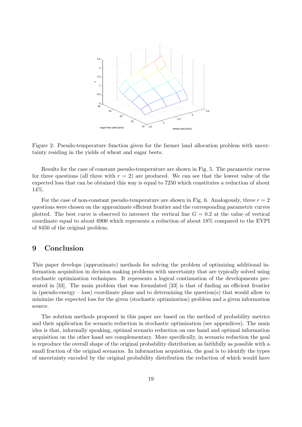

Figure 2: Pseudo-temperature function given for the farmer land allocation problem with uncertainty residing in the yields of wheat and sugar beets.

Results for the case of constant pseudo-temperature are shown in Fig. 5. The parametric curves for three questions (all three with  $r = 2$ ) are produced. We can see that the lowest value of the expected loss that can be obtained this way is equal to 7250 which constitutes a reduction of about 14%.

For the case of non-constant pseudo-temperature are shown in Fig. 6. Analogously, three  $r = 2$ questions were chosen on the approximate efficient frontier and the corresponding parametric curves plotted. The best curve is observed to intersect the vertical line  $G = 0.2$  at the value of vertical coordinate equal to about 6900 which represents a reduction of about 18% compared to the EVPI of 8450 of the original problem.

## 9 Conclusion

This paper develops (approximate) methods for solving the problem of optimizing additional information acquisition in decision making problems with uncertainty that are typically solved using stochastic optimization techniques. It represents a logical continuation of the developments presented in [33]. The main problem that was formulated [33] is that of finding an efficient frontier in (pseudo-energy – loss) coordinate plane and to determining the question(s) that would allow to minimize the expected loss for the given (stochastic optimization) problem and a given information source.

The solution methods proposed in this paper are based on the method of probability metrics and their application for scenario reduction in stochastic optimization (see appendices). The main idea is that, informally speaking, optimal scenario reduction on one hand and optimal information acquisition on the other hand are complementary. More specifically, in scenario reduction the goal is reproduce the overall shape of the original probability distribution as faithfully as possible with a small fraction of the original scenarios. In information acquisition, the goal is to identify the types of uncertainty encoded by the original probability distribution the reduction of which would have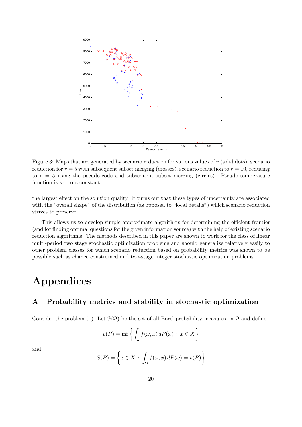

Figure 3: Maps that are generated by scenario reduction for various values of  $r$  (solid dots), scenario reduction for  $r = 5$  with subsequent subset merging (crosses), scenario reduction to  $r = 10$ , reducing to  $r = 5$  using the pseudo-code and subsequent subset merging (circles). Pseudo-temperature function is set to a constant.

the largest effect on the solution quality. It turns out that these types of uncertainty are associated with the "overall shape" of the distribution (as opposed to "local details") which scenario reduction strives to preserve.

This allows us to develop simple approximate algorithms for determining the efficient frontier (and for finding optimal questions for the given information source) with the help of existing scenario reduction algorithms. The methods described in this paper are shown to work for the class of linear multi-period two stage stochastic optimization problems and should generalize relatively easily to other problem classes for which scenario reduction based on probability metrics was shown to be possible such as chance constrained and two-stage integer stochastic optimization problems.

## Appendices

## A Probability metrics and stability in stochastic optimization

Consider the problem (1). Let  $\mathcal{P}(\Omega)$  be the set of all Borel probability measures on  $\Omega$  and define

$$
v(P) = \inf \left\{ \int_{\Omega} f(\omega, x) dP(\omega) : x \in X \right\}
$$

and

$$
S(P) = \left\{ x \in X \, : \, \int_{\Omega} f(\omega, x) \, dP(\omega) = v(P) \right\}
$$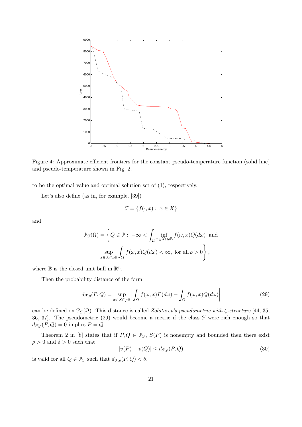

Figure 4: Approximate efficient frontiers for the constant pseudo-temperature function (solid line) and pseudo-temperature shown in Fig. 2.

to be the optimal value and optimal solution set of (1), respectively.

Let's also define (as in, for example, [39])

$$
\mathcal{F} = \{ f(\cdot, x) : x \in X \}
$$

and

$$
\mathcal{P}_{\mathcal{F}}(\Omega) = \left\{ Q \in \mathcal{P} : -\infty < \int_{\Omega} \inf_{x \in X \cap \rho \mathbb{B}} f(\omega, x) Q(d\omega) \text{ and } \sup_{x \in X \cap \rho \mathbb{B}} \int_{\Omega} f(\omega, x) Q(d\omega) < \infty, \text{ for all } \rho > 0 \right\},
$$

where  $\mathbb B$  is the closed unit ball in  $\mathbb R^n$ .

Then the probability distance of the form

$$
d_{\mathcal{F},\rho}(P,Q) = \sup_{x \in X \cap \rho \mathbb{B}} \left| \int_{\Omega} f(\omega, x) P(d\omega) - \int_{\Omega} f(\omega, x) Q(d\omega) \right| \tag{29}
$$

can be defined on  $\mathcal{P}_{\mathcal{F}}(\Omega)$ . This distance is called *Zolotarev's pseudometric with*  $\zeta$ -structure [44, 35, 36, 37]. The pseudometric (29) would become a metric if the class  $\mathcal F$  were rich enough so that  $d_{\mathcal{F},\rho}(P,Q) = 0$  implies  $P = Q$ .

Theorem 2 in [8] states that if  $P, Q \in \mathcal{P}_{\mathcal{F}}, S(P)$  is nonempty and bounded then there exist  $\rho > 0$  and  $\delta > 0$  such that

$$
|v(P) - v(Q)| \le d_{\mathcal{F},\rho}(P,Q)
$$
\n(30)

is valid for all  $Q \in \mathcal{P}_{\mathcal{F}}$  such that  $d_{\mathcal{F},\rho}(P,Q) < \delta$ .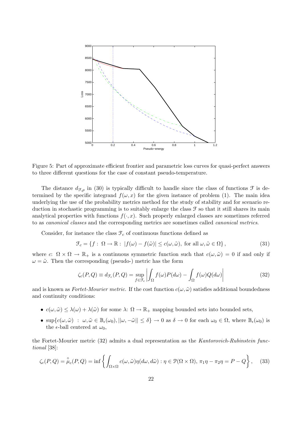

Figure 5: Part of approximate efficient frontier and parametric loss curves for quasi-perfect answers to three different questions for the case of constant pseudo-temperature.

The distance  $d_{\mathcal{F},\rho}$  in (30) is typically difficult to handle since the class of functions  $\mathcal F$  is determined by the specific integrand  $f(\omega, x)$  for the given instance of problem (1). The main idea underlying the use of the probability metrics method for the study of stability and for scenario reduction in stochastic programming is to suitably enlarge the class  $\mathcal F$  so that it still shares its main analytical properties with functions  $f(\cdot, x)$ . Such properly enlarged classes are sometimes referred to as canonical classes and the corresponding metrics are sometimes called canonical metrics.

Consider, for instance the class  $\mathcal{F}_c$  of continuous functions defined as

$$
\mathcal{F}_c = \{ f : \Omega \to \mathbb{R} : |f(\omega) - f(\tilde{\omega})| \le c(\omega, \tilde{\omega}), \text{ for all } \omega, \tilde{\omega} \in \Omega \},\tag{31}
$$

where c:  $\Omega \times \Omega \to \mathbb{R}_+$  is a continuous symmetric function such that  $c(\omega, \tilde{\omega}) = 0$  if and only if  $\omega = \tilde{\omega}$ . Then the corresponding (pseudo-) metric has the form

$$
\zeta_c(P,Q) \equiv d_{\mathcal{F}_c}(P,Q) = \sup_{f \in \mathcal{F}_c} \left| \int_{\Omega} f(\omega)P(d\omega) - \int_{\Omega} f(\omega)Q(d\omega) \right| \tag{32}
$$

and is known as Fortet-Mourier metric. If the cost function  $c(\omega, \tilde{\omega})$  satisfies additional boundedness and continuity conditions:

- $c(\omega, \tilde{\omega}) \leq \lambda(\omega) + \lambda(\tilde{\omega})$  for some  $\lambda: \Omega \to \mathbb{R}_+$  mapping bounded sets into bounded sets,
- $\sup\{c(\omega,\tilde{\omega}) : \omega,\tilde{\omega}\in\mathbb{B}_{\epsilon}(\omega_0), ||\omega,-\tilde{\omega}||\leq \delta\}\to 0$  as  $\delta\to 0$  for each  $\omega_0\in\Omega$ , where  $\mathbb{B}_{\epsilon}(\omega_0)$  is the  $\epsilon$ -ball centered at  $\omega_0$ ,

the Fortet-Mourier metric (32) admits a dual representation as the Kantorovich-Rubinstein functional [38]:

$$
\zeta_c(P,Q) = \stackrel{\circ}{\mu}_c(P,Q) = \inf \left\{ \int_{\Omega \times \Omega} c(\omega, \tilde{\omega}) \eta(d\omega, d\tilde{\omega}) : \eta \in \mathcal{P}(\Omega \times \Omega), \pi_1 \eta - \pi_2 \eta = P - Q \right\}, \quad (33)
$$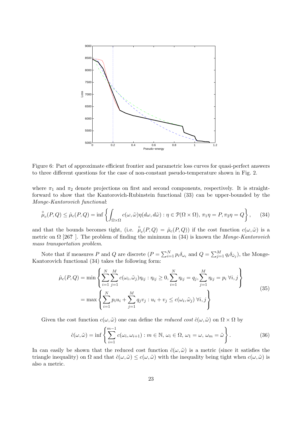

Figure 6: Part of approximate efficient frontier and parametric loss curves for quasi-perfect answers to three different questions for the case of non-constant pseudo-temperature shown in Fig. 2.

where  $\pi_1$  and  $\pi_2$  denote projections on first and second components, respectively. It is straightforward to show that the Kantorovich-Rubinstein functional (33) can be upper-bounded by the Monge-Kantorovich functional:

$$
\overset{\circ}{\mu}_c(P,Q) \leq \hat{\mu}_c(P,Q) = \inf \left\{ \int_{\Omega \times \Omega} c(\omega, \tilde{\omega}) \eta(d\omega, d\tilde{\omega}) : \eta \in \mathcal{P}(\Omega \times \Omega), \pi_1 \eta = P, \pi_2 \eta = Q \right\}, \tag{34}
$$

and that the bounds becomes tight, (i.e.  $\mu_c(P,Q) = \hat{\mu}_c(P,Q)$ ) if the cost function  $c(\omega,\tilde{\omega})$  is a metric on  $\Omega$  [26?]. The problem of finding the minimum in (34) is known the Monge-Kantorovich mass transportation problem.

Note that if measures P and Q are discrete  $(P = \sum_{i=1}^{N} P_i$  $\sum_{i=1}^{N} p_i \delta_{\omega_i}$  and  $Q = \sum_{j=1}^{M}$  $\sum_{j=1}^{M} q_i \delta_{\tilde{\omega}_j}$ , the Monge-Kantorovich functional (34) takes the following form:

$$
\hat{\mu}_c(P,Q) = \min \left\{ \sum_{i=1}^N \sum_{j=1}^M c(\omega_i, \tilde{\omega}_j) \eta_{ij} : \eta_{ij} \ge 0, \sum_{i=1}^N \eta_{ij} = q_j, \sum_{j=1}^M \eta_{ij} = p_i \; \forall i, j \right\}
$$
\n
$$
= \max \left\{ \sum_{i=1}^N p_i u_i + \sum_{j=1}^M q_j v_j : u_i + v_j \le c(\omega_i, \tilde{\omega}_j) \; \forall i, j \right\}
$$
\n(35)

Given the cost function  $c(\omega, \tilde{\omega})$  one can define the *reduced cost*  $\hat{c}(\omega, \tilde{\omega})$  on  $\Omega \times \Omega$  by

$$
\hat{c}(\omega,\tilde{\omega}) = \inf \left\{ \sum_{i=1}^{m-1} c(\omega_i, \omega_{i+1}) : m \in \mathbb{N}, \, \omega_i \in \Omega, \, \omega_1 = \omega, \, \omega_m = \tilde{\omega} \right\}.
$$
 (36)

In can easily be shown that the reduced cost function  $\hat{c}(\omega, \tilde{\omega})$  is a metric (since it satisfies the triangle inequality) on  $\Omega$  and that  $\hat{c}(\omega, \tilde{\omega}) \leq c(\omega, \tilde{\omega})$  with the inequality being tight when  $c(\omega, \tilde{\omega})$  is also a metric.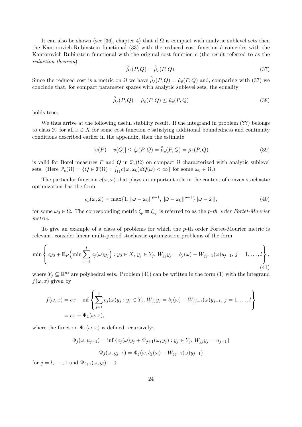It can also be shown (see [36], chapter 4) that if  $\Omega$  is compact with analytic sublevel sets then the Kantorovich-Rubinstein functional (33) with the reduced cost function  $\hat{c}$  coincides with the Kantorovich-Rubinstein functional with the original cost function  $c$  (the result referred to as the reduction theorem):

$$
\stackrel{\circ}{\mu}_{\hat{c}}(P,Q) = \stackrel{\circ}{\mu}_c(P,Q). \tag{37}
$$

Since the reduced cost is a metric on  $\Omega$  we have  $\mu_{\hat{c}}(P,Q) = \mu_{\hat{c}}(P,Q)$  and, comparing with (37) we conclude that, for compact parameter spaces with analytic sublevel sets, the equality

$$
\stackrel{\circ}{\mu}_c(P,Q) = \stackrel{\circ}{\mu}_\hat{c}(P,Q) \le \stackrel{\circ}{\mu}_c(P,Q) \tag{38}
$$

holds true.

We thus arrive at the following useful stability result. If the integrand in problem  $(??)$  belongs to class  $\mathcal{F}_c$  for all  $x \in X$  for some cost function c satisfying additional boundedness and continuity conditions described earlier in the appendix, then the estimate

$$
|v(P) - v(Q)| \le \zeta_c(P, Q) = \stackrel{\circ}{\mu}_c(P, Q) = \hat{\mu}_\hat{c}(P, Q)
$$
\n(39)

is valid for Borel measures P and Q in  $\mathcal{P}_c(\Omega)$  on compact  $\Omega$  characterized with analytic sublevel is valid for Borel measures P and Q in  $\mathcal{F}_c(\Omega)$  on compact  $\Omega$  characterized<br>sets. (Here  $\mathcal{P}_c(\Omega) = \{Q \in \mathcal{P}(\Omega) : \int_{\Omega} c(\omega, \omega_0) dQ(\omega) < \infty\}$  for some  $\omega_0 \in \Omega$ .)

The particular function  $c(\omega, \tilde{\omega})$  that plays an important role in the context of convex stochastic optimization has the form

$$
c_p(\omega, \tilde{\omega}) = \max\{1, ||\omega - \omega_0||^{p-1}, ||\tilde{\omega} - \omega_0||^{p-1}\}||\omega - \tilde{\omega}||,
$$
\n(40)

for some  $\omega_0 \in \Omega$ . The corresponding metric  $\zeta_p \equiv \zeta_{c_p}$  is referred to as the p-th order Fortet-Mourier metric.

To give an example of a class of problems for which the p-th order Fortet-Mourier metric is relevant, consider linear multi-period stochastic optimization problems of the form

$$
\min \left\{ cy_0 + \mathbb{E}_P \Big( \min \sum_{j=1}^l c_j(\omega) y_j \Big) : y_0 \in X, y_j \in Y_j, W_{jj} y_j = b_j(\omega) - W_{jj-1}(\omega) y_{j-1}, j = 1, \dots, l \right\},\tag{41}
$$

where  $Y_j \subseteq \mathbb{R}^{n_j}$  are polyhedral sets. Problem (41) can be written in the form (1) with the integrand  $f(\omega, x)$  given by

$$
f(\omega, x) = cx + \inf \left\{ \sum_{j=1}^{l} c_j(\omega)y_j : y_j \in Y_j, W_{jj} y_j = b_j(\omega) - W_{jj-1}(\omega)y_{j-1}, j = 1, ..., l \right\}
$$
  
=  $cx + \Psi_1(\omega, x),$ 

where the function  $\Psi_1(\omega, x)$  is defined recursively:

$$
\Phi_j(\omega, u_{j-1}) = \inf \{c_j(\omega)y_j + \Psi_{j+1}(\omega, y_j) : y_j \in Y_j, W_{jj}y_j = u_{j-1}\}
$$

$$
\Psi_j(\omega, y_{j-1}) = \Phi_j(\omega, b_j(\omega) - W_{jj-1}(\omega)y_{j-1})
$$

for  $j = l, \ldots, 1$  and  $\Psi_{l+1}(\omega, y_l) \equiv 0$ .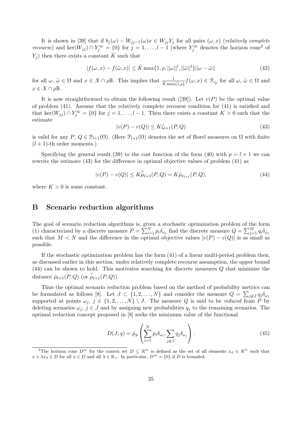It is shown in [39] that if  $b_j(\omega) - W_{jj-1}(\omega)x \in W_{jj}Y_j$  for all pairs  $(\omega, x)$  (relatively complete *recourse*) and ker( $W_{jj}$ )  $\cap Y_j^{\infty} = \{0\}$  for  $j = 1, \ldots, l-1$  (where  $Y_j^{\infty}$  denotes the horizon cone<sup>2</sup> of  $Y_i$ ) then there exists a constant  $\hat{K}$  such that

$$
|f(\omega, x) - f(\tilde{\omega}, x)| \le \hat{K} \max\{1, \rho, ||\omega||^l, ||\tilde{\omega}||^l\}||\omega - \tilde{\omega}|| \tag{42}
$$

for all  $\omega, \tilde{\omega} \in \Omega$  and  $x \in X \cap \rho \mathbb{B}$ . This implies that  $\frac{1}{\hat{K} \max\{1, \rho\}} f(\omega, x) \in \mathcal{F}_{c_p}$  for all  $\omega, \tilde{\omega} \in \Omega$  and  $x \in X \cap \rho \mathbb{B}.$ 

It is now straightforward to obtain the following result ([39]). Let  $v(P)$  be the optimal value of problem (41). Assume that the relatively complete recourse condition for (41) is satisfied and that ker( $W_{jj}$ ) ∩  $Y_j^{\infty} = \{0\}$  for  $j = 1, ..., l-1$ . Then there exists a constant  $K > 0$  such that the estimate

$$
|v(P) - v(Q)| \le K\zeta_{l+1}(P, Q) \tag{43}
$$

is valid for any  $P, Q \in \mathcal{P}_{l+1}(\Omega)$ . (Here  $\mathcal{P}_{l+1}(\Omega)$  denotes the set of Borel measures on  $\Omega$  with finite  $(l + 1)$ -th order moments.)

Specifying the general result (39) to the cost function of the form (40) with  $p = l + 1$  we can rewrite the estimate (43) for the difference in optimal objective values of problem (41) as

$$
|v(P) - v(Q)| \le K\overset{\circ}{\mu}_{l+1}(P,Q) = K\overset{\circ}{\mu}_{\hat{c}_{l+1}}(P,Q),\tag{44}
$$

where  $K > 0$  is some constant.

### B Scenario reduction algorithms

The goal of scenario reduction algorithms is, given a stochastic optimization problem of the form The goal of scenario reduction algorithms is, given<br>
(1) characterized by a discrete measure  $P = \sum_{i=1}^{N}$  $\sum_{i=1}^{N} p_i \delta_{\omega_i}$  find the discrete measure  $Q =$  $\sum_{i=1}^{n}$  $_{j=1}^{M}\, q_{i}\delta_{\tilde{\omega}_{j}}$ such that  $M < N$  and the difference in the optimal objective values  $|v(P) - v(Q)|$  is as small as possible.

If the stochastic optimization problem has the form (41) of a linear multi-period problem then, as discussed earlier in this section, under relatively complete recourse assumption, the upper bound (44) can be shown to hold. This motivates searching for discrete measures Q that minimize the distance  $\hat{\mu}_{l+1}(P,Q)$  (or  $\hat{\mu}_{l+1}(P,Q)$ ).

Thus the optimal scenario reduction problem based on the method of probability metrics can be formulated as follows [8]. Let  $J \subset \{1, 2, ..., N\}$  and consider the measure  $Q =$  $\stackrel{\text{He}}{\rightleftharpoons}$  $j \notin J$   $q_j \delta_{\omega_j}$ supported at points  $\omega_j, j \in \{1, 2, ..., N\} \setminus J$ . The measure Q is said to be reduced from P by deleting scenarios  $\omega_j$ ,  $j \in J$  and by assigning new probabilities  $q_j$  to the remaining scenarios. The optimal reduction concept proposed in [8] seeks the minimum value of the functional

$$
D(J;q) = \hat{\mu}_p \left( \sum_{i=1}^N p_i \delta_{\omega_i}, \sum_{j \notin J} q_j \delta_{\omega_j} \right).
$$
 (45)

<sup>&</sup>lt;sup>2</sup>The horizon cone  $D^{\infty}$  for the convex set  $D \subseteq \mathbb{R}^m$  is defined as the set of all elements  $x_d \in \mathbb{R}^m$  such that  $x + \lambda x_d \in D$  for all  $x \in D$  and all  $\lambda \in \mathbb{R}_+$ . In particular,  $D^{\infty} = \{0\}$  if D is bounded.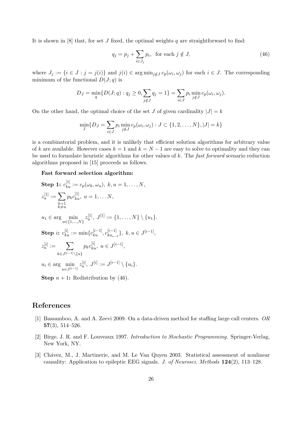It is shown in  $[8]$  that, for set J fixed, the optimal weights q are straightforward to find:

$$
q_j = p_j + \sum_{i \in J_j} p_i, \text{ for each } j \notin J,
$$
\n(46)

where  $J_j := \{i \in J : j = j(i)\}\$  and  $j(i) \in \arg \min_{j \notin J} c_p(\omega_i, \omega_j)$  for each  $i \in J$ . The corresponding minimum of the functional  $D(J; q)$  is

$$
D_J = \min_{q} \{ D(J; q) : q_j \ge 0, \sum_{j \notin J} q_j = 1 \} = \sum_{i \in J} p_i \min_{j \notin J} c_p(\omega_i, \omega_j).
$$

On the other hand, the optimal choice of the set J of given cardinality  $|J| = k$ 

$$
\min_{J} \{ D_J = \sum_{i \in J} p_i \min_{j \notin J} c_p(\omega_i, \omega_j) : J \subset \{1, 2, ..., N\}, |J| = k \}
$$

is a combinatorial problem, and it is unlikely that efficient solution algorithms for arbitrary value of k are available. However cases  $k = 1$  and  $k = N - 1$  are easy to solve to optimality and they can be used to formulate heuristic algorithms for other values of k. The fast forward scenario reduction algorithms proposed in [15] proceeds as follows.

#### Fast forward selection algorithm:

Step 1: 
$$
c_{ku}^{[1]} := c_p(\omega_k, \omega_u), k, u = 1, ..., N,
$$
  
\n $z_u^{[1]} := \sum_{\substack{k=1 \ k \neq u}} p_k c_{ku}^{[1]}, u = 1, ..., N,$   
\n $u_1 \in \arg \min_{u \in \{1, ..., N\}} z_u^{[1]}, J^{[1]} := \{1, ..., N\} \setminus \{u_1\}.$   
\nStep i:  $c_{ku}^{[i]} := \min\{c_{ku}^{[i-1]}, c_{ku_{i-1}}^{[i-1]}\}, k, u \in J^{[i-1]},$   
\n $z_u^{[i]} := \sum_{k \in J^{[i-1]} \setminus \{u\}} p_k c_{ku}^{[i]}, u \in J^{[i-1]},$   
\n $u_i \in \arg \min_{u \in J^{[i-1]}} z_u^{[i]}, J^{[i]} := J^{[i-1]} \setminus \{u_i\}.$ 

**Step**  $n + 1$ : Redistribution by (46).

### References

- [1] Bassamboo, A. and A. Zeevi 2009. On a data-driven method for staffing large call centers. OR 57(3), 514–526.
- [2] Birge, J. R. and F. Louveaux 1997. Introduction to Stochastic Programming. Springer-Verlag, New York, NY.
- [3] Chávez, M., J. Martinerie, and M. Le Van Quyen 2003. Statistical assessment of nonlinear causality: Application to epileptic EEG signals. J. of Neurosci. Methods 124(2), 113–128.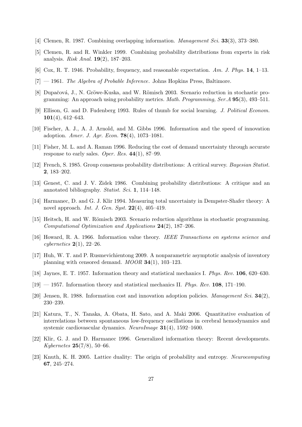- [4] Clemen, R. 1987. Combining overlapping information. Management Sci. 33(3), 373–380.
- [5] Clemen, R. and R. Winkler 1999. Combining probability distributions from experts in risk analysis. Risk Anal. 19(2), 187–203.
- [6] Cox, R. T. 1946. Probability, frequency, and reasonable expectation. Am. J. Phys. 14, 1–13.
- $[7]$  1961. The Algebra of Probable Inference. Johns Hopkins Press, Baltimore.
- [8] Dupačová, J., N. Gröwe-Kuska, and W. Römisch 2003. Scenario reduction in stochastic programming: An approach using probability metrics. *Math. Programming, Ser.A*  $95(3)$ ,  $493-511$ .
- [9] Ellison, G. and D. Fudenberg 1993. Rules of thumb for social learning. J. Political Econom. 101(4), 612–643.
- [10] Fischer, A. J., A. J. Arnold, and M. Gibbs 1996. Information and the speed of innovation adoption. Amer. J. Agr. Econ. 78(4), 1073–1081.
- [11] Fisher, M. L. and A. Raman 1996. Reducing the cost of demand uncertainty through accurate response to early sales. Oper. Res.  $44(1)$ , 87–99.
- [12] French, S. 1985. Group consensus probability distributions: A critical survey. Bayesian Statist. 2, 183–202.
- [13] Genest, C. and J. V. Zidek 1986. Combining probability distributions: A critique and an annotated bibliography. Statist. Sci. 1, 114–148.
- [14] Harmanec, D. and G. J. Klir 1994. Measuring total uncertainty in Dempster-Shafer theory: A novel approach. Int. J. Gen. Syst.  $22(4)$ ,  $405-419$ .
- [15] Heitsch, H. and W. Römisch 2003. Scenario reduction algorithms in stochastic programming. Computational Optimization and Applications 24(2), 187–206.
- [16] Howard, R. A. 1966. Information value theory. IEEE Transactions on systems science and cybernetics  $2(1)$ , 22–26.
- [17] Huh, W. T. and P. Rusmevichientong 2009. A nonparametric asymptotic analysis of inventory planning with censored demand. MOOR 34(1), 103–123.
- [18] Jaynes, E. T. 1957. Information theory and statistical mechanics I. Phys. Rev. 106, 620–630.
- $[19] 1957$ . Information theory and statistical mechanics II. *Phys. Rev.* **108**, 171–190.
- [20] Jensen, R. 1988. Information cost and innovation adoption policies. Management Sci. 34(2), 230–239.
- [21] Katura, T., N. Tanaka, A. Obata, H. Sato, and A. Maki 2006. Quantitative evaluation of interrelations between spontaneous low-frequency oscillations in cerebral hemodynamics and systemic cardiovascular dynamics. NeuroImage 31(4), 1592–1600.
- [22] Klir, G. J. and D. Harmanec 1996. Generalized information theory: Recent developments. Kybernetes 25(7/8), 50–66.
- [23] Knuth, K. H. 2005. Lattice duality: The origin of probability and entropy. Neurocomputing 67, 245–274.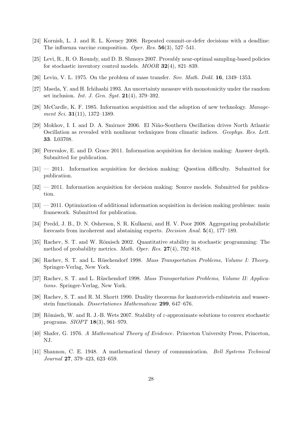- [24] Kornish, L. J. and R. L. Keeney 2008. Repeated commit-or-defer decisions with a deadline: The influenza vaccine composition. Oper. Res. 56(3), 527–541.
- [25] Levi, R., R. O. Roundy, and D. B. Shmoys 2007. Provably near-optimal sampling-based policies for stochastic inventory control models. MOOR 32(4), 821–839.
- [26] Levin, V. L. 1975. On the problem of mass transfer. Sov. Math. Dokl. 16, 1349–1353.
- [27] Maeda, Y. and H. Ichihashi 1993. An uncertainty measure with monotonicity under the random set inclusion. *Int. J. Gen. Syst.*  $21(4)$ , 379–392.
- [28] McCardle, K. F. 1985. Information acquisition and the adoption of new technology. Management Sci. **31**(11), 1372-1389.
- [29] Mokhov, I. I. and D. A. Smirnov 2006. El Niño-Southern Oscillation drives North Atlantic Oscillation as revealed with nonlinear techniques from climatic indices. Geophys. Res. Lett. 33. L03708.
- [30] Perevalov, E. and D. Grace 2011. Information acquisition for decision making: Answer depth. Submitted for publication.
- [31] 2011. Information acquisition for decision making: Question difficulty. Submitted for publication.
- [32] 2011. Information acquisition for decision making: Source models. Submitted for publication.
- [33]  $-2011$ . Optimization of additional information acquisition in decision making problems: main framework. Submitted for publication.
- [34] Predd, J. B., D. N. Osherson, S. R. Kulkarni, and H. V. Poor 2008. Aggregating probabilistic forecasts from incoherent and abstaining experts. Decision Anal. 5(4), 177–189.
- [35] Rachev, S. T. and W. Römisch 2002. Quantitative stability in stochastic programming: The method of probability metrics. Math. Oper. Res. 27(4), 792–818.
- [36] Rachev, S. T. and L. Rüschendorf 1998. Mass Transportation Problems, Volume I: Theory. Springer-Verlag, New York.
- [37] Rachev, S. T. and L. Rüschendorf 1998. Mass Transportation Problems, Volume II: Applications. Springer-Verlag, New York.
- [38] Rachev, S. T. and R. M. Shortt 1990. Duality theorems for kantorovich-rubinstein and wasserstein functionals. Dissertationes Mathematicae 299, 647–676.
- [39] Römisch, W. and R. J.-B. Wets 2007. Stability of  $\varepsilon$ -approximate solutions to convex stochastic programs. SIOPT 18(3), 961–979.
- [40] Shafer, G. 1976. A Mathematical Theory of Evidence. Princeton University Press, Princeton, NJ.
- [41] Shannon, C. E. 1948. A mathematical theory of communication. Bell Systems Technical Journal 27, 379–423, 623–659.